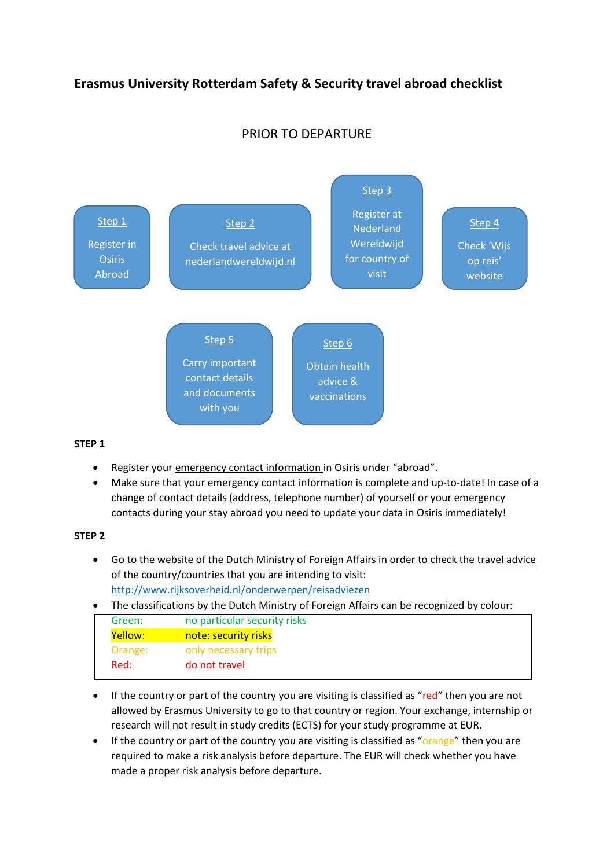# **Erasmus University Rotterdam Safety & Security travel abroad checklist**

# PRIOR TO DEPARTURE



#### **STEP 1**

- Register your emergency contact information in Osiris under "abroad".
- Make sure that your emergency contact information is complete and up-to-date! In case of a change of contact details (address, telephone number) of yourself or your emergency contacts during your stay abroad you need to update your data in Osiris immediately!

#### **STEP 2**

- Go to the website of the Dutch Ministry of Foreign Affairs in order to check the travel advice of the country/countries that you are intending to visit: <http://www.rijksoverheid.nl/onderwerpen/reisadviezen>
- The classifications by the Dutch Ministry of Foreign Affairs can be recognized by colour:

|  | Green:  | no particular security risks |
|--|---------|------------------------------|
|  | Yellow: | note: security risks         |
|  | Orange: | only necessary trips         |
|  | Red:    | do not travel                |
|  |         |                              |

- If the country or part of the country you are visiting is classified as "red" then you are not allowed by Erasmus University to go to that country or region. Your exchange, internship or research will not result in study credits (ECTS) for your study programme at EUR.
- If the country or part of the country you are visiting is classified as "orange" then you are required to make a risk analysis before departure. The EUR will check whether you have made a proper risk analysis before departure.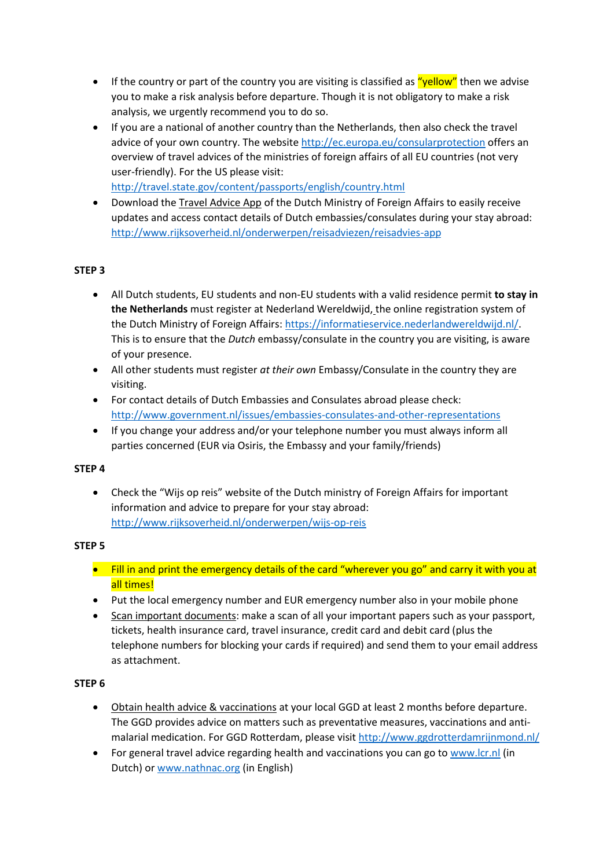- **If the country or part of the country you are visiting is classified as "yellow"** then we advise you to make a risk analysis before departure. Though it is not obligatory to make a risk analysis, we urgently recommend you to do so.
- If you are a national of another country than the Netherlands, then also check the travel advice of your own country. The website<http://ec.europa.eu/consularprotection> offers an overview of travel advices of the ministries of foreign affairs of all EU countries (not very user-friendly). For the US please visit: <http://travel.state.gov/content/passports/english/country.html>
- Download the Travel Advice App of the Dutch Ministry of Foreign Affairs to easily receive updates and access contact details of Dutch embassies/consulates during your stay abroad: <http://www.rijksoverheid.nl/onderwerpen/reisadviezen/reisadvies-app>

## **STEP 3**

- All Dutch students, EU students and non-EU students with a valid residence permit **to stay in the Netherlands** must register at Nederland Wereldwijd, the online registration system of the Dutch Ministry of Foreign Affairs: [https://informatieservice.nederlandwereldwijd.nl/.](https://informatieservice.nederlandwereldwijd.nl/) This is to ensure that the *Dutch* embassy/consulate in the country you are visiting, is aware of your presence.
- All other students must register *at their own* Embassy/Consulate in the country they are visiting.
- For contact details of Dutch Embassies and Consulates abroad please check: <http://www.government.nl/issues/embassies-consulates-and-other-representations>
- If you change your address and/or your telephone number you must always inform all parties concerned (EUR via Osiris, the Embassy and your family/friends)

## **STEP 4**

 Check the "Wijs op reis" website of the Dutch ministry of Foreign Affairs for important information and advice to prepare for your stay abroad: <http://www.rijksoverheid.nl/onderwerpen/wijs-op-reis>

## **STEP 5**

- Fill in and print the emergency details of the card "wherever you go" and carry it with you at all times!
- Put the local emergency number and EUR emergency number also in your mobile phone
- Scan important documents: make a scan of all your important papers such as your passport, tickets, health insurance card, travel insurance, credit card and debit card (plus the telephone numbers for blocking your cards if required) and send them to your email address as attachment.

## **STEP 6**

- Obtain health advice & vaccinations at your local GGD at least 2 months before departure. The GGD provides advice on matters such as preventative measures, vaccinations and antimalarial medication. For GGD Rotterdam, please visi[t http://www.ggdrotterdamrijnmond.nl/](http://www.ggdrotterdamrijnmond.nl/)
- For general travel advice regarding health and vaccinations you can go t[o www.lcr.nl](http://www.lcr.nl/) (in Dutch) o[r www.nathnac.org](http://www.nathnac.org/) (in English)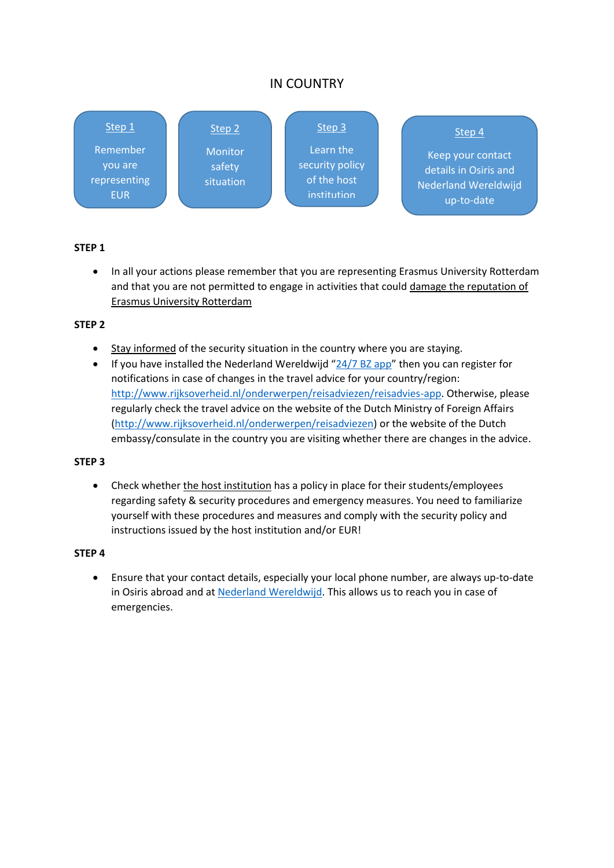# IN COUNTRY



## **STEP 1**

• In all your actions please remember that you are representing Erasmus University Rotterdam and that you are not permitted to engage in activities that could damage the reputation of Erasmus University Rotterdam

## **STEP 2**

- Stay informed of the security situation in the country where you are staying.
- $\bullet$  If you have installed the Nederland Wereldwijd "[24/7 BZ app](https://www.nederlandwereldwijd.nl/)" then you can register for notifications in case of changes in the travel advice for your country/region: [http://www.rijksoverheid.nl/onderwerpen/reisadviezen/reisadvies-app.](http://www.rijksoverheid.nl/onderwerpen/reisadviezen/reisadvies-app) Otherwise, please regularly check the travel advice on the website of the Dutch Ministry of Foreign Affairs [\(http://www.rijksoverheid.nl/onderwerpen/reisadviezen\)](http://www.rijksoverheid.nl/onderwerpen/reisadviezen) or the website of the Dutch embassy/consulate in the country you are visiting whether there are changes in the advice.

#### **STEP 3**

 Check whether the host institution has a policy in place for their students/employees regarding safety & security procedures and emergency measures. You need to familiarize yourself with these procedures and measures and comply with the security policy and instructions issued by the host institution and/or EUR!

#### **STEP 4**

 Ensure that your contact details, especially your local phone number, are always up-to-date in Osiris abroad and at [Nederland Wereldwijd.](https://informatieservice.nederlandwereldwijd.nl/) This allows us to reach you in case of emergencies.